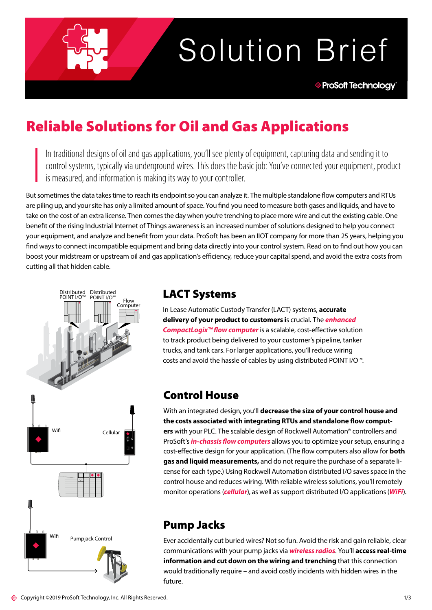# Solution Brief

## Reliable Solutions for Oil and Gas Applications

In traditional designs of oil and gas applications, you'll see plenty of equipment, capturing data and sending it to control systems, typically via underground wires. This does the basic job: You've connected your equipment, product is measured, and information is making its way to your controller.

But sometimes the data takes time to reach its endpoint so you can analyze it. The multiple standalone flow computers and RTUs are piling up, and your site has only a limited amount of space. You find you need to measure both gases and liquids, and have to take on the cost of an extra license. Then comes the day when you're trenching to place more wire and cut the existing cable. One benefit of the rising Industrial Internet of Things awareness is an increased number of solutions designed to help you connect your equipment, and analyze and benefit from your data. ProSoft has been an IIOT company for more than 25 years, helping you find ways to connect incompatible equipment and bring data directly into your control system. Read on to find out how you can boost your midstream or upstream oil and gas application's efficiency, reduce your capital spend, and avoid the extra costs from cutting all that hidden cable.



## LACT Systems

In Lease Automatic Custody Transfer (LACT) systems, **accurate delivery of your product to customers i**s crucial. The *[enhanced](http://www.prosoft-technology.com/Products/Rockwell-Automation-In-chassis/Platform/CompactLogix/Enhanced-Liquid-Gas-Flow-Computer-for-CompactLogix)  [CompactLogix™ flow computer](http://www.prosoft-technology.com/Products/Rockwell-Automation-In-chassis/Platform/CompactLogix/Enhanced-Liquid-Gas-Flow-Computer-for-CompactLogix)* is a scalable, cost-effective solution to track product being delivered to your customer's pipeline, tanker trucks, and tank cars. For larger applications, you'll reduce wiring costs and avoid the hassle of cables by using distributed POINT I/O™.

## Control House

With an integrated design, you'll **decrease the size of your control house and the costs associated with integrating RTUs and standalone flow computers** with your PLC. The scalable design of Rockwell Automation® controllers and ProSoft's *[in-chassis flow computers](http://www.prosoft-technology.com/Landing-Pages/Flow-Computer-for-Oil-and-Gas)* allows you to optimize your setup, ensuring a cost-effective design for your application. (The flow computers also allow for **both gas and liquid measurements,** and do not require the purchase of a separate license for each type.) Using Rockwell Automation distributed I/O saves space in the control house and reduces wiring. With reliable wireless solutions, you'll remotely monitor operations (*[cellular](https://www.prosoft-technology.com/Products/Industrial-Wireless/Intelligent-Cellular/Industrial-Cellular-Gateway-ICX35-HWC)*), as well as support distributed I/O applications (*[WiFi](https://www.prosoft-technology.com/Landing-Pages/platform/industrial-wireless-solutions)*).

## Pump Jacks

Ever accidentally cut buried wires? Not so fun. Avoid the risk and gain reliable, clear communications with your pump jacks via *[wireless radios](https://www.prosoft-technology.com/Landing-Pages/platform/industrial-wireless-solutions)*. You'll **access real-time information and cut down on the wiring and trenching** that this connection would traditionally require – and avoid costly incidents with hidden wires in the future.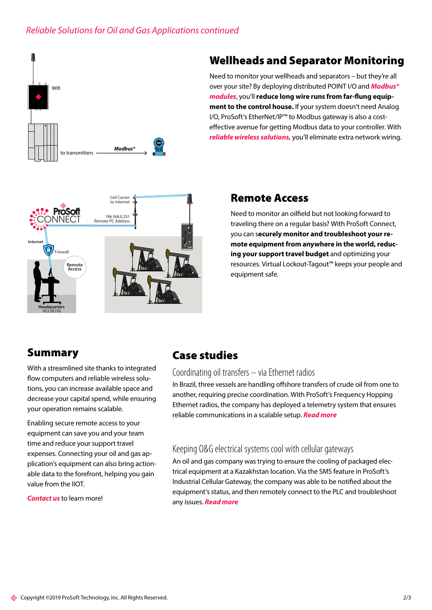## *Reliable Solutions for Oil and Gas Applications continued*



## Wellheads and Separator Monitoring

Need to monitor your wellheads and separators – but they're all over your site? By deploying distributed POINT I/O and *[Modbus®](https://www.prosoft-technology.com/Landing-Pages/Protocol/Modbus-and-Modbus-TCP-Protocol)  [modules](https://www.prosoft-technology.com/Landing-Pages/Protocol/Modbus-and-Modbus-TCP-Protocol)*, you'll **reduce long wire runs from far-flung equipment to the control house.** If your system doesn't need Analog I/O, ProSoft's EtherNet/IP™ to Modbus gateway is also a costeffective avenue for getting Modbus data to your controller. With *reliable wireless solutions*, you'll eliminate extra network wiring.



## Remote Access

Need to monitor an oilfield but not looking forward to traveling there on a regular basis? With [ProSoft Connect](http://www.prosoft-technology.com/Landing-Pages/Connect), you can s**ecurely monitor and troubleshoot your remote equipment from anywhere in the world, reducing your support travel budget** and optimizing your resources. Virtual Lockout-Tagout™ keeps your people and equipment safe.

## Summary

With a streamlined site thanks to integrated flow computers and reliable wireless solutions, you can increase available space and decrease your capital spend, while ensuring your operation remains scalable.

Enabling secure remote access to your equipment can save you and your team time and reduce your support travel expenses. Connecting your oil and gas application's equipment can also bring actionable data to the forefront, helping you gain value from the IIOT.

*[Contact us](http://www.prosoft-technology.com/About-Us/Contact-Us/Contact-Form)* to learn more!

## Case studies

## [Coordinating oil transfers – via Ethernet radios](http://www.prosoft-technology.com/insights/application-stories/Coordinating-oil-transfers-in-Brazil-via-Ethernet-radios)

In Brazil, three vessels are handling offshore transfers of crude oil from one to another, requiring precise coordination. With ProSoft's Frequency Hopping Ethernet radios, the company has deployed a telemetry system that ensures reliable communications in a scalable setup. *[Read more](http://www.prosoft-technology.com/insights/application-stories/Coordinating-oil-transfers-in-Brazil-via-Ethernet-radios)*

## [Keeping O&G electrical systems cool with cellular gateways](http://www.prosoft-technology.com/insights/application-stories/Keeping-electrical-systems-cool-while-reducing-maintenance-costs)

An oil and gas company was trying to ensure the cooling of packaged electrical equipment at a Kazakhstan location. Via the SMS feature in ProSoft's Industrial Cellular Gateway, the company was able to be notified about the equipment's status, and then remotely connect to the PLC and troubleshoot any issues. *[Read more](http://www.prosoft-technology.com/insights/application-stories/Keeping-electrical-systems-cool-while-reducing-maintenance-costs)*